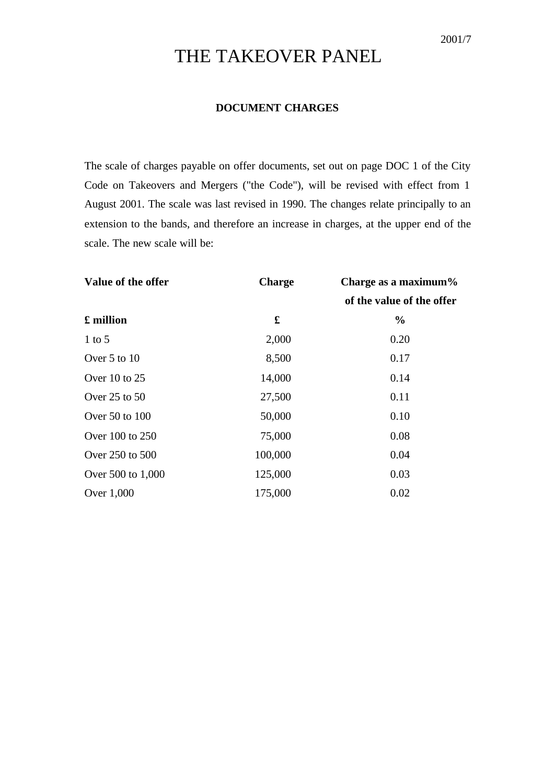## THE TAKEOVER PANEL

## **DOCUMENT CHARGES**

The scale of charges payable on offer documents, set out on page DOC 1 of the City Code on Takeovers and Mergers ("the Code"), will be revised with effect from 1 August 2001. The scale was last revised in 1990. The changes relate principally to an extension to the bands, and therefore an increase in charges, at the upper end of the scale. The new scale will be:

| Value of the offer | <b>Charge</b> | Charge as a maximum%      |
|--------------------|---------------|---------------------------|
|                    |               | of the value of the offer |
| $\pounds$ million  | £             | $\frac{0}{0}$             |
| $1$ to 5           | 2,000         | 0.20                      |
| Over $5$ to $10$   | 8,500         | 0.17                      |
| Over 10 to 25      | 14,000        | 0.14                      |
| Over $25$ to $50$  | 27,500        | 0.11                      |
| Over 50 to 100     | 50,000        | 0.10                      |
| Over 100 to 250    | 75,000        | 0.08                      |
| Over 250 to 500    | 100,000       | 0.04                      |
| Over 500 to 1,000  | 125,000       | 0.03                      |
| Over 1,000         | 175,000       | 0.02                      |